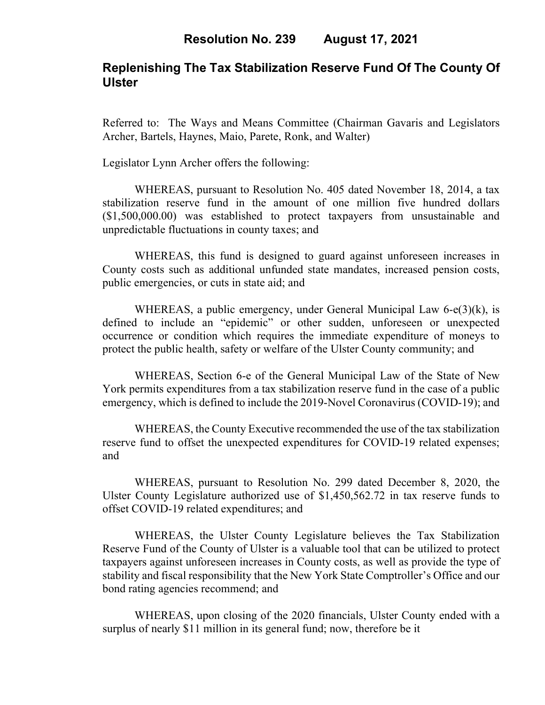### **Replenishing The Tax Stabilization Reserve Fund Of The County Of Ulster**

Referred to: The Ways and Means Committee (Chairman Gavaris and Legislators Archer, Bartels, Haynes, Maio, Parete, Ronk, and Walter)

Legislator Lynn Archer offers the following:

WHEREAS, pursuant to Resolution No. 405 dated November 18, 2014, a tax stabilization reserve fund in the amount of one million five hundred dollars (\$1,500,000.00) was established to protect taxpayers from unsustainable and unpredictable fluctuations in county taxes; and

WHEREAS, this fund is designed to guard against unforeseen increases in County costs such as additional unfunded state mandates, increased pension costs, public emergencies, or cuts in state aid; and

WHEREAS, a public emergency, under General Municipal Law 6-e(3)(k), is defined to include an "epidemic" or other sudden, unforeseen or unexpected occurrence or condition which requires the immediate expenditure of moneys to protect the public health, safety or welfare of the Ulster County community; and

WHEREAS, Section 6-e of the General Municipal Law of the State of New York permits expenditures from a tax stabilization reserve fund in the case of a public emergency, which is defined to include the 2019-Novel Coronavirus (COVID-19); and

WHEREAS, the County Executive recommended the use of the tax stabilization reserve fund to offset the unexpected expenditures for COVID-19 related expenses; and

WHEREAS, pursuant to Resolution No. 299 dated December 8, 2020, the Ulster County Legislature authorized use of \$1,450,562.72 in tax reserve funds to offset COVID-19 related expenditures; and

WHEREAS, the Ulster County Legislature believes the Tax Stabilization Reserve Fund of the County of Ulster is a valuable tool that can be utilized to protect taxpayers against unforeseen increases in County costs, as well as provide the type of stability and fiscal responsibility that the New York State Comptroller's Office and our bond rating agencies recommend; and

WHEREAS, upon closing of the 2020 financials, Ulster County ended with a surplus of nearly \$11 million in its general fund; now, therefore be it